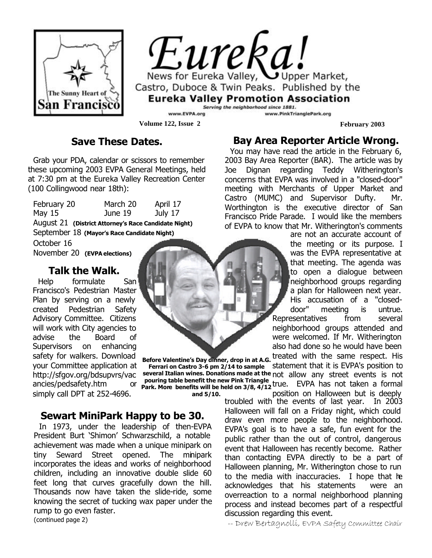

Eureka! News for Eureka Valley, Upper Market, Castro, Duboce & Twin Peaks. Published by the **Eureka Valley Promotion Association** Serving the neighborhood since 1881.

www.EVPA.org **Volume 122, Issue 2 February 2003** 

### **Save These Dates.**

Grab your PDA, calendar or scissors to remember these upcoming 2003 EVPA General Meetings, held at 7:30 pm at the Eureka Valley Recreation Center (100 Collingwood near 18th):

February 20 March 20 April 17 May 15 June 19 July 17 August 21 **(District Attorney's Race Candidate Night)** September 18 **(Mayor's Race Candidate Night)**

October 16 November 20 **(EVPA elections)**

### **Talk the Walk.**

Help formulate San Francisco's Pedestrian Master Plan by serving on a newly created Pedestrian Safety Advisory Committee. Citizens will work with City agencies to advise the Board of Supervisors on enhancing safety for walkers. Download your Committee application at http://sfgov.org/bdsupvrs/vac ancies/pedsafety.htm simply call DPT at 252-4696.



**Before Valentine's Day dinner, drop in at A.G. Ferrari on Castro 3-6 pm 2/14 to sample pouring table benefit the new Pink Triangle and 5/10.**

**Sewart MiniPark Happy to be 30.**

In 1973, under the leadership of then-EVPA President Burt 'Shimon' Schwarzschild, a notable achievement was made when a unique minipark on tiny Seward Street opened. The minipark incorporates the ideas and works of neighborhood children, including an innovative double slide 60 feet long that curves gracefully down the hill. Thousands now have taken the slide-ride, some knowing the secret of tucking wax paper under the rump to go even faster. (continued page 2)

### **Bay Area Reporter Article Wrong.**

www.PinkTrianglePark.org

You may have read the article in the February 6, 2003 Bay Area Reporter (BAR). The article was by Joe Dignan regarding Teddy Witherington's concerns that EVPA was involved in a "closed-door" meeting with Merchants of Upper Market and Castro (MUMC) and Supervisor Dufty. Mr. Worthington is the executive director of San Francisco Pride Parade. I would like the members of EVPA to know that Mr. Witherington's comments

> are not an accurate account of the meeting or its purpose. I was the EVPA representative at that meeting. The agenda was to open a dialogue between neighborhood groups regarding a plan for Halloween next year. His accusation of a "closeddoor" meeting is untrue. Representatives from several neighborhood groups attended and were welcomed. If Mr. Witherington also had done so he would have been treated with the same respect. His

**several Italian wines. Donations made at the**  not allow any street events is not **Park. More benefits will be held on 3/8, 4/12**  true. EVPA has not taken a formal statement that it is EVPA's position to position on Halloween but is deeply

troubled with the events of last year. In 2003 Halloween will fall on a Friday night, which could draw even more people to the neighborhood. EVPA's goal is to have a safe, fun event for the public rather than the out of control, dangerous event that Halloween has recently become. Rather than contacting EVPA directly to be a part of Halloween planning, Mr. Witherington chose to run to the media with inaccuracies. I hope that he acknowledges that his statements were an overreaction to a normal neighborhood planning process and instead becomes part of a respectful discussion regarding this event.

-- Drew Bertagnolli, EVPA Safety Committee Chair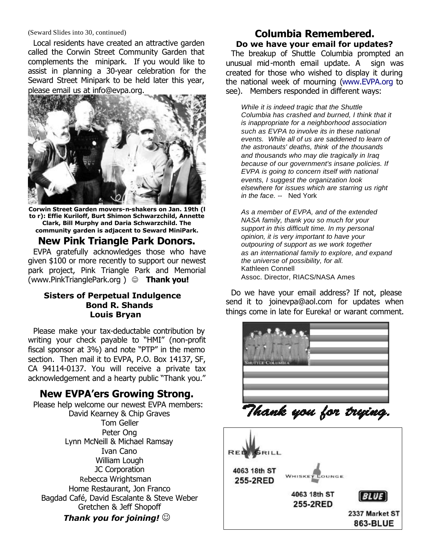#### (Seward Slides into 30, continued)

Local residents have created an attractive garden called the Corwin Street Community Garden that complements the minipark. If you would like to assist in planning a 30-year celebration for the Seward Street Minipark to be held later this year, please email us at info@evpa.org.



**Corwin Street Garden movers-n-shakers on Jan. 19th (l to r): Effie Kuriloff, Burt Shimon Schwarzchild, Annette Clark, Bill Murphy and Daria Schwarzchild. The community garden is adjacent to Seward MiniPark.**

#### **New Pink Triangle Park Donors.**

EVPA gratefully acknowledges those who have given \$100 or more recently to support our newest park project, Pink Triangle Park and Memorial (www.PinkTrianglePark.org) © **Thank you!** 

#### **Sisters of Perpetual Indulgence Bond R. Shands Louis Bryan**

Please make your tax-deductable contribution by writing your check payable to "HMI" (non-profit fiscal sponsor at 3%) and note "PTP" in the memo section. Then mail it to EVPA, P.O. Box 14137, SF, CA 94114-0137. You will receive a private tax acknowledgement and a hearty public "Thank you."

### **New EVPA'ers Growing Strong.**

Please help welcome our newest EVPA members: David Kearney & Chip Graves Tom Geller Peter Ong Lynn McNeill & Michael Ramsay Ivan Cano William Lough JC Corporation Rebecca Wrightsman Home Restaurant, Jon Franco Bagdad Café, David Escalante & Steve Weber Gretchen & Jeff Shopoff *Thank you for joining!*  $\odot$ 

#### **Columbia Remembered. Do we have your email for updates?**

The breakup of Shuttle Columbia prompted an unusual mid-month email update. A sign was created for those who wished to display it during the national week of mourning (www.EVPA.org to see). Members responded in different ways:

*While it is indeed tragic that the Shuttle Columbia has crashed and burned, I think that it is inappropriate for a neighborhood association such as EVPA to involve its in these national events. While all of us are saddened to learn of the astronauts' deaths, think of the thousands and thousands who may die tragically in Iraq because of our government's insane policies. If EVPA is going to concern itself with national events, I suggest the organization look elsewhere for issues which are starring us right in the face. --* Ned York

*As a member of EVPA, and of the extended NASA family, thank you so much for your support in this difficult time. In my personal opinion, it is very important to have your outpouring of support as we work together as an international family to explore, and expand the universe of possibility, for all.* Kathleen Connell Assoc. Director, RIACS/NASA Ames

Do we have your email address? If not, please send it to joinevpa@aol.com for updates when things come in late for Eureka! or warant comment.



Thank you for trying.

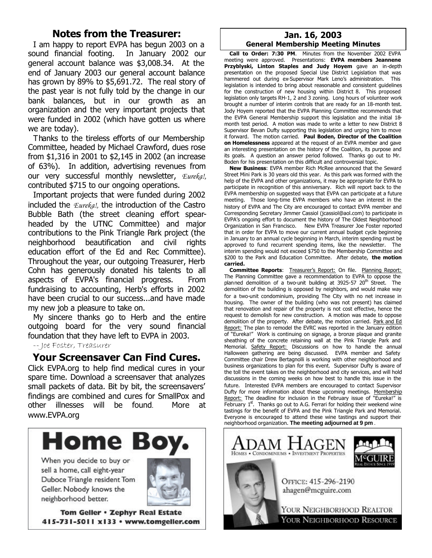### **Notes from the Treasurer:**

I am happy to report EVPA has begun 2003 on a sound financial footing. In January 2002 our general account balance was \$3,008.34. At the end of January 2003 our general account balance has grown by 89% to \$5,691.72. The real story of the past year is not fully told by the change in our bank balances, but in our growth as an organization and the very important projects that were funded in 2002 (which have gotten us where we are today).

Thanks to the tireless efforts of our Membership Committee, headed by Michael Crawford, dues rose from \$1,316 in 2001 to \$2,145 in 2002 (an increase of 63%). In addition, advertising revenues from our very successful monthly newsletter, *Eureka!,* contributed \$715 to our ongoing operations.

Important projects that were funded during 2002 included the *Eureka!,* the introduction of the Castro Bubble Bath (the street cleaning effort spearheaded by the UTNC Committee) and major contributions to the Pink Triangle Park project (the neighborhood beautification and civil rights education effort of the Ed and Rec Committee). Throughout the year, our outgoing Treasurer, Herb Cohn has generously donated his talents to all aspects of EVPA's financial progress. From fundraising to accounting, Herb's efforts in 2002 have been crucial to our success...and have made my new job a pleasure to take on.

My sincere thanks go to Herb and the entire outgoing board for the very sound financial foundation that they have left to EVPA in 2003.

-- Joe Foster, Treasurer

### **Your Screensaver Can Find Cures.**

Click EVPA.org to help find medical cures in your spare time. Download a screensaver that analyzes small packets of data. Bit by bit, the screensavers' findings are combined and cures for SmallPox and other illnesses will be found. More at www.EVPA.org



When you decide to buy or sell a home, call eight-year Duboce Triangle resident Tom Geller. Nobody knows the neighborhood better.



Tom Geller . Zephyr Real Estate 415-731-5011 x133 · www.tomgeller.com

#### **Jan. 16, 2003 General Membership Meeting Minutes**

**Call to Order: 7:30 PM**. Minutes from the November 2002 EVPA meeting were approved. Presentations: **EVPA members Jeannene Przyblyski, Linton Staples and Judy Hoyem** gave an in-depth presentation on the proposed Special Use District Legislation that was hammered out during ex-Supervisor Mark Leno's administration. This legislation is intended to bring about reasonable and consistent guidelines for the construction of new housing within District 8. This proposed legislation only targets RH-1, 2 and 3 zoning. Long hours of volunteer work brought a number of interim controls that are ready for an 18-month test. Jody Hoyem reported that the EVPA Planning Committee recommends that the EVPA General Membership support this legislation and the initial 18 month test period. A motion was made to write a letter to new District 8 Supervisor Bevan Dufty supporting this legislation and urging him to move it forward. The motion carried. **Paul Boden, Director of the Coalition on Homelessness** appeared at the request of an EVPA member and gave an interesting presentation on the history of the Coalition, its purpose and its goals. A question an answer period followed. Thanks go out to Mr. Boden for his presentation on this difficult and controversial topic.

**New Business**: EVPA member Rich McRee announced that the Seward Street Mini Park is 30 years old this year. As this park was formed with the help of the EVPA and other organizations, it may be appropriate for EVPA to participate in recognition of this anniversary. Rich will report back to the EVPA membership on suggested ways that EVPA can participate at a future meeting. Those long-time EVPA members who have an interest in the history of EVPA and The City are encouraged to contact EVPA member and Corresponding Secretary Jimmer Cassiol (jcassiol@aol.com) to participate in EVPA's ongoing effort to document the history of The Oldest Neighborhood Organization in San Francisco. New EVPA Treasurer Joe Foster reported that in order for EVPA to move our current annual budget cycle beginning in January to an annual cycle beginning in March, interim spending must be approved to fund recurrent spending items, like the newsletter. The interim spending would not exceed \$750 to the Membership Committee and \$200 to the Park and Education Committee. After debate, **the motion carried.**

**Committee Reports:** Treasurer's Report: On file. Planning Report: The Planning Committee gave a recommendation to EVPA to oppose the planned demolition of a two-unit building at 3925-57 20<sup>th</sup> Street. The demolition of the building is opposed by neighbors, and would make way for a two-unit condominium, providing The City with no net increase in housing. The owner of the building (who was not present) has claimed that renovation and repair of the property is not cost effective, hence the request to demolish for new construction. A motion was made to oppose demolition of the property. After debate, the motion carried. Park and Ed Report: The plan to remodel the EVRC was reported in the January edition of "Eureka!" Work is continuing on signage, a bronze plaque and granite sheathing of the concrete retaining wall at the Pink Triangle Park and Memorial. Safety Report: Discussions on how to handle the annual Halloween gathering are being discussed. EVPA member and Safety Committee chair Drew Bertagnolli is working with other neighborhood and business organizations to plan for this event. Supervisor Dufty is aware of the toll the event takes on the neighborhood and city services, and will hold discussions in the coming weeks on how best to handle this issue in the future. Interested EVPA members are encouraged to contact Supervisor Dufty for more information about these upcoming meetings. Membership Report: The deadline for inclusion in the February issue of "Eureka!" is  $F<sub>1</sub>$  February 1st. Thanks go out to A.G. Ferrari for holding their weekend wine tastings for the benefit of EVPA and the Pink Triangle Park and Memorial. Everyone is encouraged to attend these wine tastings and support their neighborhood organization. **The meeting adjourned at 9 pm** .



YOUR NEIGHBORHOOD RESOURCE